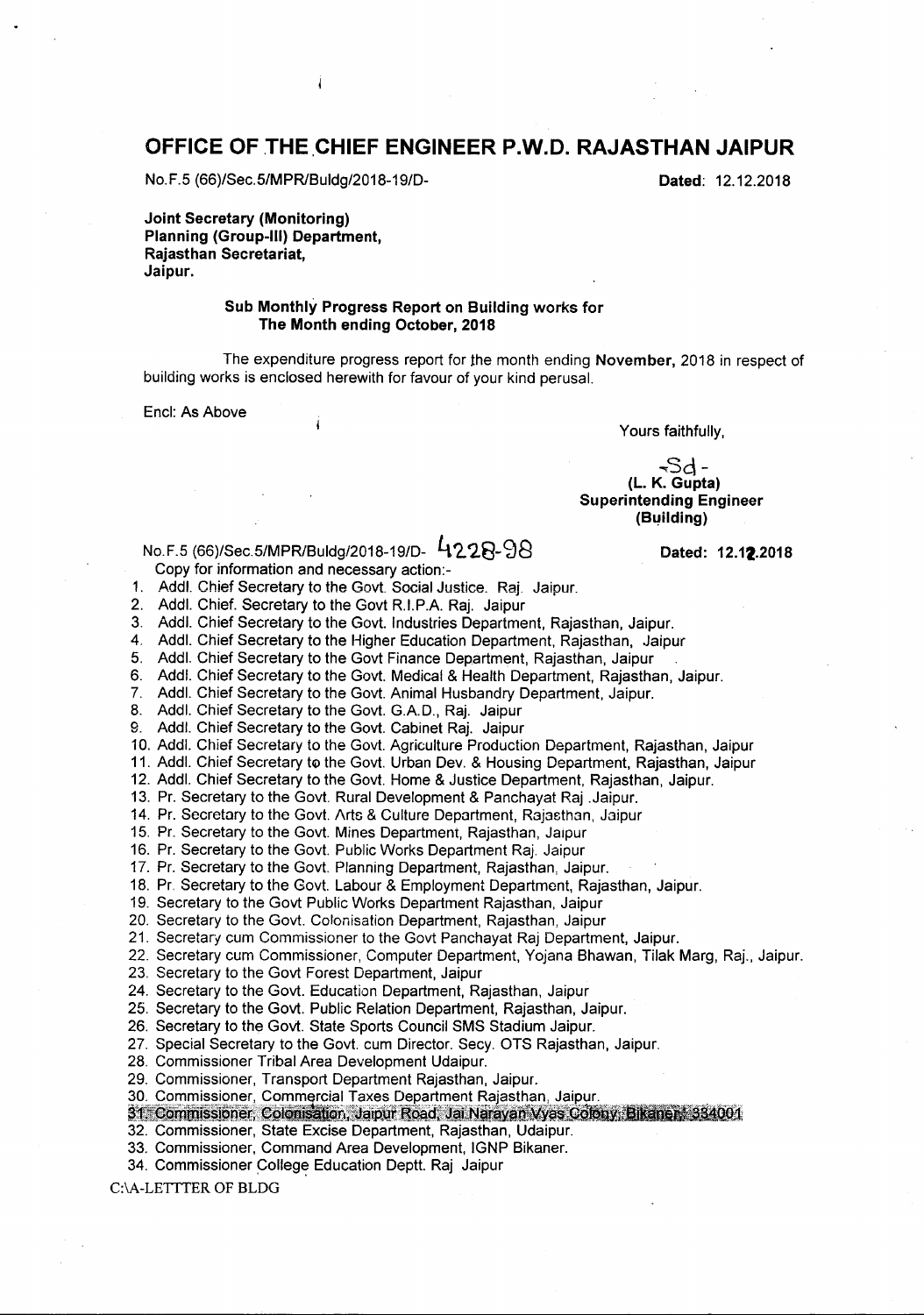## **OFFICE OF** THE.CHIEF **ENGINEER** P.W.D. **RAJASTHAN JAIPUR**

No.F.5 (66)/Sec.5/MPR/Buldg/2018-19/D-<br>
Dated: 12.12.2018

Joint Secretary (Monitoring) Planning (Group-III) Department, Rajasthan Secretariat, Jaipur.

#### Sub Monthly Progress Report on Building works for The Month ending October, 2018

The expenditure progress report for the month ending November, 2018 in respect of building works is enclosed herewith for favour of your kind perusal.

Encl: As Above

Yours faithfully,

 $-5d$ (L. K. Gupta) Superintending Engineer (Building)

# No.F.5 (66)/Sec.5/MPR/Buldg/2018-19/D- 4228-98 Dated: 12.12.2018

Copy for information and necessary action:-

j

1. Addl. Chief Secretary to the Govt. Social Justice. Raj. Jaipur.

2. Addl. Chief. Secretary to the Govt R.I.P.A. Raj. Jaipur

3. Addl. Chief Secretary to the Govt. Industries Department, Rajasthan, Jaipur.

4. Addl. Chief Secretary to the Higher Education Department, Rajasthan, Jaipur

5. Addl. Chief Secretary to the Govt Finance Department, Rajasthan, Jaipur

6. Addl. Chief Secretary to the Govt. Medical & Health Department, Rajasthan, Jaipur.

7. Addl. Chief Secretary to the Govt. Animal Husbandry Department, Jaipur.

8. Addl. Chief Secretary to the Govt. G.A.D., Raj. Jaipur

9. Addl. Chief Secretary to the Govt. Cabinet Raj. Jaipur

10. Addl. Chief Secretary to the Govt. Agriculture Production Department, Rajasthan, Jaipur

11. Addl. Chief Secretary to the Govt. Urban Dev. & Housing Department, Rajasthan, Jaipur

12. Addl. Chief Secretary to the Govt. Home & Justice Department, Rajasthan, Jaipur.

13. Pr. Secretary to the Govt. Rural Development & Panchayat Raj .Jaipur.

14. Pr. Secretary to the Govt. Arts & Culture Department, Rajasthan, Jaipur

15. Pr. Secretary to the Govt. Mines Department, Rajasthan, Jaipur

16. Pr. Secretary to the Govt. Public Works Department Raj. Jaipur

17. Pr. Secretary to the Govt. Planning Department, Rajasthan, Jaipur.

18. Pr. Secretary to the Govt. Labour & Employment Department, Rajasthan, Jaipur.

19. Secretary to the Govt Public Works Department Rajasthan, Jaipur

20. Secretary to the Govt. Colonisation Department, Rajasthan, Jaipur

21. Secretary cum Commissioner to the Govt Panchayat Raj Department, Jaipur.

22. Secretary cum Commissioner, Computer Department, Yojana Bhawan, Tilak Marg, Raj., Jaipur.

- 23. Secretary to the Govt Forest Department, Jaipur
- 24. Secretary to the Govt. Education Department, Rajasthan, Jaipur

25. Secretary to the Govt. Public Relation Department, Rajasthan, Jaipur.

26. Secretary to the Govt. State Sports Council SMS Stadium Jaipur.

- 27. Special Secretary to the Govt. cum Director. Secy. OTS Rajasthan, Jaipur.
- 28. Commissioner Tribal Area Development Udaipur.
- 29. Commissioner, Transport Department Rajasthan, Jaipur.
- 30. Commissioner, Commercial Taxes Department Rajasthan, Jaipur.
- 31. Commissioner, Colonisation, Jaipur Road, Jai Narayan Wyas Colony, Bikaner, 334001

32. Commissioner, State Excise Department, Rajasthan, Udaipur.

33. Commissioner, Command Area Development, IGNP Bikaner.

34. Commissioner College Education Deptt. Raj Jaipur

C:\A-LETITER OF BLDG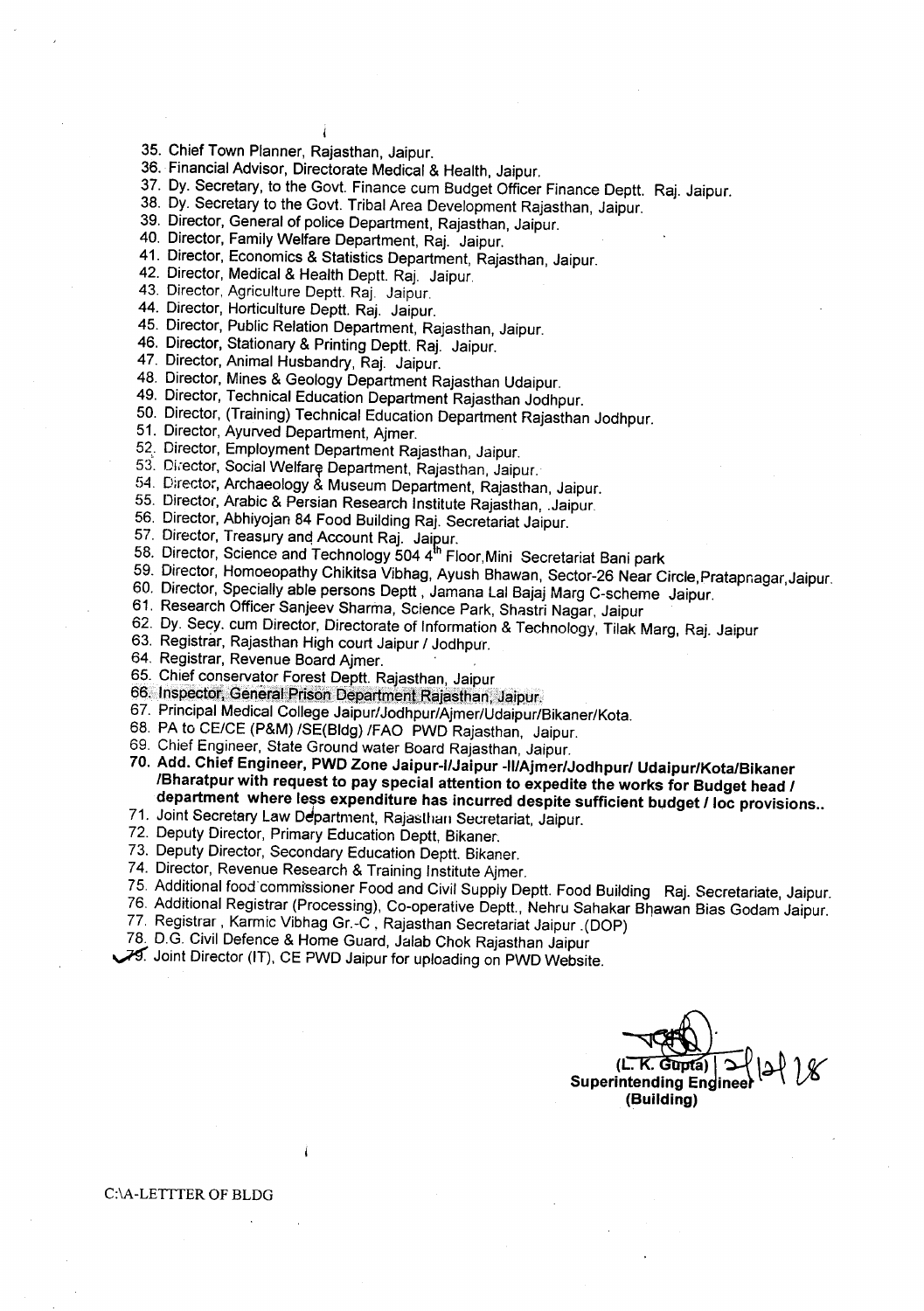- 35. Chief Town Planner, Rajasthan, Jaipur.
- 36. Financial Advisor, Directorate Medical & Health, Jaipur.

4

- 37. Dy. Secretary, to the Govt. Finance cum Budget Officer Finance Deptt. Raj. Jaipur.
- 38. Dy. Secretary to the Govt. Tribal Area Development Rajasthan, Jaipur.
- 39. Director, General of police Department, Rajasthan, Jaipur.
- 40. Director, Family Welfare Department, Raj. Jaipur.
- 41. Director, Economics & Statistics Department, Rajasthan, Jaipur.
- 42. Director, Medical& Health Deptt. Raj. Jaipur.
- 43. Director, Agriculture Deptt. Raj. Jaipur.
- 44. Director, Horticulture Deptt. Raj. Jaipur.
- 45. Director, Public Relation Department, Rajasthan, Jaipur.
- 46. Director, Stationary & Printing Deptt. Raj. Jaipur.
- 47. Director, Animal Husbandry, Raj. Jaipur.
- 48. Director, Mines & Geology Department Rajasthan Udaipur.
- 49. Director, Technical Education Department Rajasthan Jodhpur.
- 50. Director, (Training) Technical Education Department Rajasthan Jodhpur.
- 51. Director, Ayurved Department, Ajmer.
- 52. Director, Employment Department Rajasthan, Jaipur.
- 53. Director, Social Welfare Department, Rajasthan, Jaipur.
- 54. Director, Archaeology & Museum Department, Rajasthan, Jaipur.
- 55. Director, Arabic & Persian Research Institute Rajasthan, .Jaipur.
- 56. Director, Abhiyojan 84 Food Building Raj. Secretariat Jaipur.
- 57. Director, Treasury and Account Raj. Jaipur.
- 58. Director, Science and Technology 504 4<sup>th</sup> Floor, Mini Secretariat Bani park
- 59. Director, Homoeopathy Chikitsa Vibhag, Ayush Bhawan, Sector-26 Near Circle, Pratapnagar, Jaipur.
- 60. Director, Specially able persons Deptt, Jamana Lal Bajaj Marg C-scheme Jaipur.
- 61. Research Officer Sanjeev Sharma, Science Park, Shastri Nagar, Jaipur
- 62. Dy. Secy. cum Director, Directorate of Information & Technology, Tilak Marg, Raj. Jaipur
- 63. Registrar, Rajasthan High court Jaipur / Jodhpur.
- 64. Registrar, Revenue Board Ajmer.
- 65. Chief conservator Forest Deptt. Rajasthan, Jaipur
- 66. Inspector, General Prison Department Rajasthan, Jaipur.
- 67. Principal Medical College Jaipur/Jodhpur/Ajmer/Udaipur/Bikaner/Kota.
- 68. PA to CE/CE (P&M) /SE(Bldg) /FAO PWD Rajasthan, Jaipur.
- 69. Chief Engineer, State Ground water Board Rajasthan, Jaipur.
- 70. Add. Chief Engineer, PWD Zone Jaipur-IIJaipur *-II/Ajmer/Jodhpurl* Udaipur/Kota/Bikaner IBharatpur with request to pay special attention to expedite the works for Budget head *I* department where less expenditure has incurred despite sufficient budget *Iloc* provisions ..
- 71. Joint Secretary Law Department, Rajasthan Secretariat, Jaipur.
- 72. Deputy Director, Primary Education Deptt, Bikaner.
- 73. Deputy Director, Secondary Education Deptt. Bikaner.
- 74. Director, Revenue Research & Training Institute Ajmer.
- 75. Additional food commissioner Food and Civil Supply Deptt. Food Building Raj. Secretariate, Jaipur.
- 76, Additional Registrar (Processing), Co-operative Deptt., Nehru Sahakar Bhawan Bias Godam Jaipur.
- 77. Registrar, Karmic Vibhag Gr.-C, Rajasthan Secretariat Jaipur .(DOP)
- 78. D.G. Civil Defence & Home Guard, Jalab Chok Rajasthan Jaipur
- ~ Joint Director (IT), CE PWD Jaipur for uploadingon PWD Website.

 $(L, K, Gupta)$   $\bigcup$ Superintending Engineer  $\leftarrow \vee \nu$ (Building)

#### C:\A-LETITER OF BLDG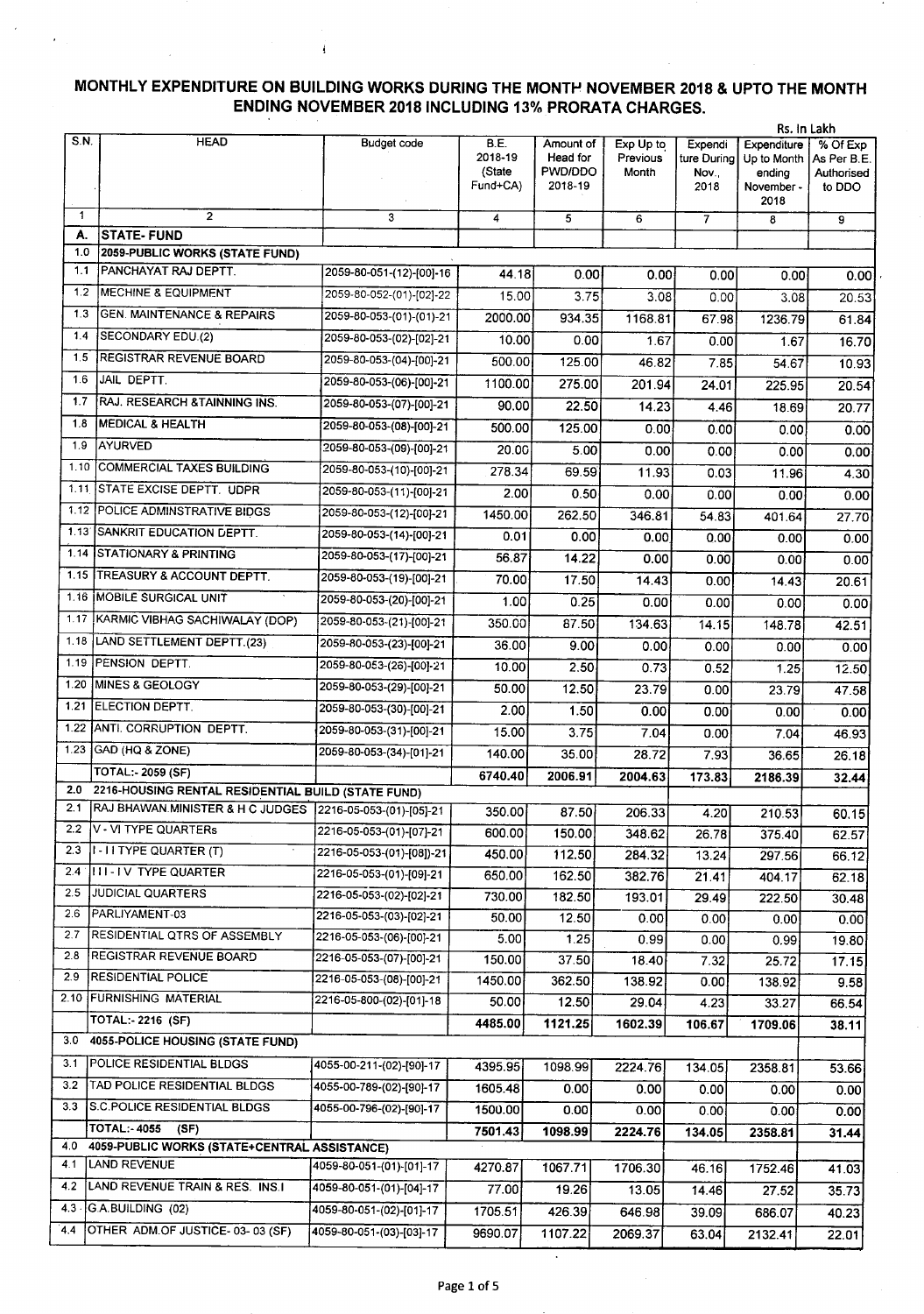## **MONTHLY EXPENDITURE ON BUILDING WORKS DURING THE MONTI-' NOVEMBER 2018 & UPTO THE MONTH ENDING NOVEMBER** 2018 INCLUDING 13% **PRORATA CHARGES.**

ă

|               | Rs. In Lakh                                               |                           |                 |                       |                       |                         |                            |                         |
|---------------|-----------------------------------------------------------|---------------------------|-----------------|-----------------------|-----------------------|-------------------------|----------------------------|-------------------------|
| S.N.          | <b>HEAD</b>                                               | Budget code               | B.E.<br>2018-19 | Amount of<br>Head for | Exp Up to<br>Previous | Expendi<br>ture During  | Expenditure<br>Up to Month | % Of Exp<br>As Per B.E. |
|               |                                                           |                           | (State          | PWD/DDO               | Month                 | Nov.,                   | ending                     | Authorised              |
|               |                                                           |                           | Fund+CA)        | 2018-19               |                       | 2018                    | November -<br>2018         | to DDO                  |
| $\mathbf{1}$  | $\overline{2}$                                            | 3                         | 4               | 5                     | 6                     | $\overline{\mathbf{r}}$ | 8                          | 9                       |
| А.            | <b>STATE-FUND</b>                                         |                           |                 |                       |                       |                         |                            |                         |
| 1.0           | 2059-PUBLIC WORKS (STATE FUND)                            |                           |                 |                       |                       |                         |                            |                         |
| 1.1           | PANCHAYAT RAJ DEPTT.                                      | 2059-80-051-(12)-[00]-16  | 44.18           | 0.00                  | 0.001                 | 0.00                    | 0.001                      | 0.00                    |
| 1.2           | <b>MECHINE &amp; EQUIPMENT</b>                            | 2059-80-052-(01)-[02]-22  | 15.00           | 3.75                  | 3.08                  | 0.00                    | 3.08                       | 20.53                   |
| 1.3           | <b>GEN. MAINTENANCE &amp; REPAIRS</b>                     | 2059-80-053-(01)-(01)-21  | 2000.00         | 934.35                | 1168.81               | 67.98                   | 1236.79                    | 61.84                   |
| 1.4           | <b>SECONDARY EDU.(2)</b>                                  | 2059-80-053-(02)-[02]-21  | 10.00           | 0.00                  | 1.67                  | 0.00                    | 1.67                       | 16.70                   |
| 1.5           | <b>REGISTRAR REVENUE BOARD</b>                            | 2059-80-053-(04)-[00]-21  | 500.00          | 125.00                | 46.82                 | 7.85                    | 54.67                      | 10.93                   |
| 1.6           | JAIL DEPTT.                                               | 2059-80-053-(06)-[00]-21  | 1100.00         | 275.00                | 201.94                | 24.01                   | 225.95                     | 20.54                   |
| 1.7           | RAJ. RESEARCH & TAINNING INS.                             | 2059-80-053-(07)-[00]-21  | 90.00           | 22.50                 | 14.23                 | 4.46                    | 18.69                      | 20.77                   |
| 1.8           | <b>MEDICAL &amp; HEALTH</b>                               | 2059-80-053-(08)-[00]-21  | 500.00          | 125.00                | 0.00                  | 0.00                    | 0.00                       | 0.00                    |
| 1.9           | AYURVED                                                   | 2059-80-053-(09)-[00]-21  | 20.00           | 5.00                  | 0.00                  | 0.00                    | 0.00                       | 0.00                    |
| 1.10          | COMMERCIAL TAXES BUILDING                                 | 2059-80-053-(10)-[00]-21  | 278.34          | 69.59                 | 11.93                 | 0.03                    | 11.96                      | 4.30                    |
| 1.11          | STATE EXCISE DEPTT. UDPR                                  | 2059-80-053-(11)-[00]-21  | 2.00            | 0.50                  | 0.00                  | 0.00                    | 0.00                       | 0.00                    |
| 1.12          | <b>POLICE ADMINSTRATIVE BIDGS</b>                         | 2059-80-053-(12)-[00]-21  | 1450.00         | 262.50                | 346.81                | 54.83                   | 401.64                     | 27.70                   |
| 1.13'         | SANKRIT EDUCATION DEPTT.                                  | 2059-80-053-(14)-[00]-21  | 0.01            | 0.00                  | 0.00                  | 0.00                    | 0.00                       | 0.00                    |
| 1.14          | <b>STATIONARY &amp; PRINTING</b>                          | 2059-80-053-(17)-[00]-21  | 56.87           | 14.22                 | 0.00                  | 0.00                    | 0.00                       | 0.00                    |
| 1.15          | TREASURY & ACCOUNT DEPTT.                                 | 2059-80-053-(19)-[00]-21  | 70.00           | 17.50                 | 14.43                 | 0.00                    | 14.43                      | 20.61                   |
| 1.16          | <b>MOBILE SURGICAL UNIT</b>                               | 2059-80-053-(20)-[00]-21  | 1.00            | 0.25                  | 0.00                  | 0.00                    | 0.00                       | 0.00                    |
| 1.17          | KARMIC VIBHAG SACHIWALAY (DOP)                            | 2059-80-053-(21)-[00]-21  | 350.00          | 87.50                 | 134.63                | 14.15                   | 148.78                     | 42.51                   |
| 1.18          | LAND SETTLEMENT DEPTT.(23)                                | 2059-80-053-(23)-[00]-21  | 36.00           | 9.00                  | 0.00                  | 0.00                    | 0.00                       | 0.00                    |
| 1.19          | PENSION DEPTT.                                            | 2059-80-053-(26)-[00]-21  | 10.00           | 2.50                  | 0.73                  | 0.52                    | 1.25                       | 12.50                   |
| 1.20          | MINES & GEOLOGY                                           | 2059-80-053-(29)-[00]-21  | 50.00           | 12.50                 | 23.79                 | 0.00                    | 23.79                      | 47.58                   |
| 1.21          | <b>ELECTION DEPTT.</b>                                    | 2059-80-053-(30)-[00]-21  | 2.00            | 1.50                  | 0.00                  | 0.00                    | 0.00                       | 0.00                    |
| 1.22          | ANTI CORRUPTION DEPTT.                                    | 2059-80-053-(31)-[00]-21  | 15.00           | 3.75                  | 7.04                  | 0.00                    | 7.04                       |                         |
|               | 1.23 GAD (HQ & ZONE)                                      | 2059-80-053-(34)-[01]-21  | 140.00          | 35.00                 | 28.72                 | 7.93                    |                            | 46.93                   |
|               | <b>TOTAL: 2059 (SF)</b>                                   |                           | 6740.40         | 2006.91               |                       |                         | 36.65                      | 26.18                   |
| 2.0           | 2216-HOUSING RENTAL RESIDENTIAL BUILD (STATE FUND)        |                           |                 |                       | 2004.63               | 173.83                  | 2186.39                    | 32.44                   |
| 2.1           | RAJ BHAWAN.MINISTER & H C JUDGES 2216-05-053-(01)-[05]-21 |                           | 350.00          | 87.50                 | 206.33                | 4.20                    | 210.53                     | 60.15                   |
| 2.2           | V - VI TYPE QUARTERS                                      | 2216-05-053-(01)-[07]-21  | 600.00          | 150.00                | 348.62                | 26.78                   | 375.40                     | 62.57                   |
| 2.3           | $ I - I$ i TYPE QUARTER $(T)$                             | 2216-05-053-(01)-[08])-21 | 450.00          | 112.50                | 284.32                | 13.24                   | 297.56                     | 66.12                   |
| $2.4^{\circ}$ | <b>ITT-TV TYPE QUARTER</b>                                | 2216-05-053-(01)-[09]-21  | 650.00          | 162.50                | 382.76                | 21.41                   | 404.17                     | 62.18                   |
| 2.5           | <b>JUDICIAL QUARTERS</b>                                  | 2216-05-053-(02)-[02]-21  | 730.00          | 182.50                | 193.01                | 29.49                   | 222.50                     | 30.48                   |
| 2.6           | PARLIYAMENT-03                                            | 2216-05-053-(03)-[02]-21  | 50.00           | 12.50                 | 0.00                  | 0.00                    | 0.00                       | 0.00                    |
| 2.7           | RESIDENTIAL QTRS OF ASSEMBLY                              | 2216-05-053-(06)-[00]-21  | 5.00            | 1.25                  | 0.99                  | 0.00                    | 0.99                       | 19.80                   |
| 2.8           | REGISTRAR REVENUE BOARD                                   | 2216-05-053-(07)-[00]-21  | 150.00          | 37.50                 | 18.40                 | 7.32                    | 25.72                      | 17.15                   |
| 2.9           | <b>RESIDENTIAL POLICE</b>                                 | 2216-05-053-(08)-[00]-21  | 1450.00         | 362.50                | 138.92                | 0.00                    | 138.92                     | 9.58                    |
|               | 2.10 FURNISHING MATERIAL                                  | 2216-05-800-(02)-[01]-18  | 50.00           | 12.50                 | 29.04                 | 4.23                    | 33.27                      | 66.54                   |
|               | TOTAL:-2216 (SF)                                          |                           | 4485.00         | 1121.25               | 1602.39               | 106.67                  | 1709.06                    | 38.11                   |
| 3.0           | 4055-POLICE HOUSING (STATE FUND)                          |                           |                 |                       |                       |                         |                            |                         |
| 3.1           | <b>POLICE RESIDENTIAL BLDGS</b>                           | 4055-00-211-(02)-[90]-17  | 4395.95         | 1098.99               | 2224.76               | 134.05                  | 2358.81                    | 53.66                   |
| 3.2           | TAD POLICE RESIDENTIAL BLDGS                              | 4055-00-789-(02)-[90]-17  | 1605.48         | 0.00                  | 0.00                  | 0.00                    | 0.00                       | 0.00                    |
| 3.3           | <b>S.C. POLICE RESIDENTIAL BLDGS</b>                      | 4055-00-796-(02)-[90]-17  | 1500.00         | 0.00                  | 0.00                  | 0.00                    | 0.00                       | 0.00                    |
|               | <b>TOTAL: 4055</b><br>(SF)                                |                           | 7501.43         | 1098.99               | 2224.76               | 134.05                  | 2358.81                    | 31.44                   |
| 4.0           | 4059-PUBLIC WORKS (STATE+CENTRAL ASSISTANCE)              |                           |                 |                       |                       |                         |                            |                         |
| 4.1           | LAND REVENUE                                              | 4059-80-051-(01)-[01]-17  | 4270.87         | 1067.71               | 1706.30               | 46.16                   | 1752.46                    | 41.03                   |
| 4.2           | LAND REVENUE TRAIN & RES. INS.I                           | 4059-80-051-(01)-[04]-17  | 77.00           | 19.26                 | 13.05                 | 14.46                   | 27.52                      | 35.73                   |
|               | 4.3 G.A.BUILDING (02)                                     | 4059-80-051-(02)-[01]-17  | 1705.51         | 426.39                | 646.98                | 39.09                   | 686.07                     | 40.23                   |
| 4.4           | OTHER ADM.OF JUSTICE-03-03 (SF)                           | 4059-80-051-(03)-[03]-17  | 9690.07         | 1107.22               | 2069.37               | 63.04                   | 2132.41                    | 22.01                   |

 $\overline{\phantom{a}}$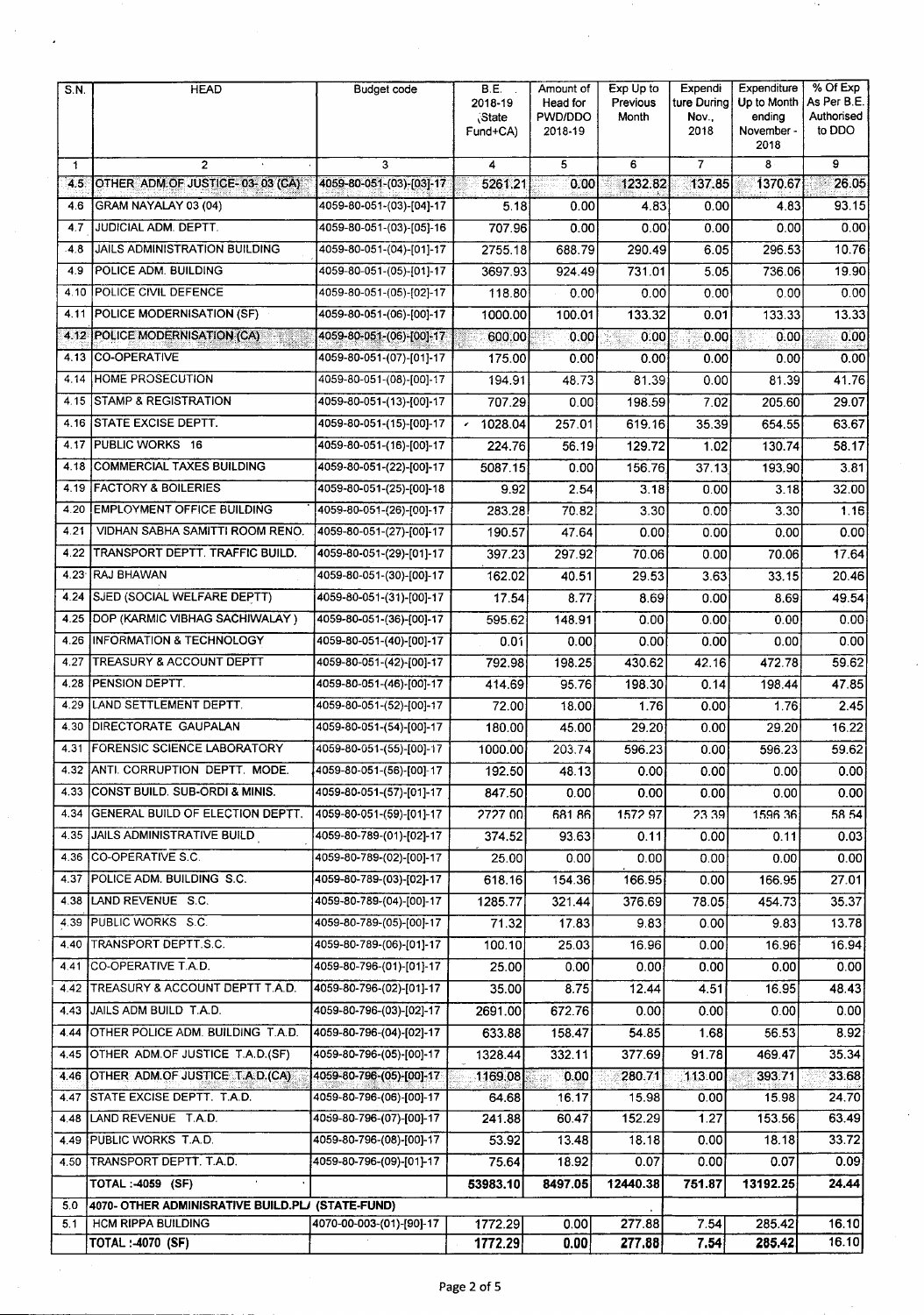| <b>S.N.</b> | <b>HEAD</b>                                      | Budget code              | <b>B.E.</b><br>2018-19<br>State <sup>®</sup><br>Fund+CA) | Amount of<br>Head for<br>PWD/DDO<br>2018-19 | Exp Up to<br>Previous<br>Month | Expendi<br>ture During<br>Nov.,<br>2018 | Expenditure<br>Up to Month<br>ending<br>November -<br>2018 | % Of Exp<br>As Per B.E.<br>Authorised<br>to DDO |
|-------------|--------------------------------------------------|--------------------------|----------------------------------------------------------|---------------------------------------------|--------------------------------|-----------------------------------------|------------------------------------------------------------|-------------------------------------------------|
| 1           | $\overline{c}$                                   | 3                        | 4                                                        | 5                                           | 6                              | 7                                       | 8                                                          | 9                                               |
| 4.5         | OTHER ADM OF JUSTICE-03-03 (CA)                  | 4059-80-051-(03)-[03]-17 | 5261.21                                                  | 0.00                                        | 1232.82                        | 137.85                                  | 1370.67                                                    | 26.05                                           |
| 4.6         | GRAM NAYALAY 03 (04)                             | 4059-80-051-(03)-[04]-17 | 5.18                                                     | 0.00                                        | 4.83                           | 0.00                                    | 4.83                                                       | 93.15                                           |
| 4.7         | JUDICIAL ADM. DEPTT.                             | 4059-80-051-(03)-[05]-16 | 707.96                                                   | 0.00                                        | 0.00                           | 0.00                                    | 0.00                                                       | 0.00                                            |
| $-4.8$      | <b>JAILS ADMINISTRATION BUILDING</b>             | 4059-80-051-(04)-[01]-17 | 2755.18                                                  | 688.79                                      | 290.49                         | 6.05                                    | 296.53                                                     | 10.76                                           |
| 4.9         | POLICE ADM. BUILDING                             | 4059-80-051-(05)-[01]-17 | 3697.93                                                  | 924.49                                      | 731.01                         | 5.05                                    | 736.06                                                     | 19.90                                           |
| 4.10        | POLICE CIVIL DEFENCE                             | 4059-80-051-(05)-[02]-17 | 118.80                                                   | 0.00                                        | 0.00                           | 0.00                                    | 0.00                                                       | 0.00                                            |
| 4.11        | <b>POLICE MODERNISATION (SF)</b>                 | 4059-80-051-(06)-[00]-17 | 1000.00                                                  | 100.01                                      | 133.32                         | 0.01                                    | 133.33                                                     | 13.33                                           |
| 4.12        | POLICE MODERNISATION (CA)                        | 4059-80-051-(06)-[00]-17 | 600.00                                                   | 0.00                                        | 0.00                           | 0.00                                    | 0.00                                                       | 0.00                                            |
| 4.13        | <b>CO-OPERATIVE</b>                              | 4059-80-051-(07)-[01]-17 | 175.00                                                   | 0.00                                        | 0.00                           | 0.00                                    | 0.00                                                       | 0.00                                            |
| 4.14        | HOME PROSECUTION                                 | 4059-80-051-(08)-[00]-17 | 194.91                                                   | 48.73                                       | 81.39                          | 0.00                                    | 81.39                                                      | 41.76                                           |
| 4.15        | <b>STAMP &amp; REGISTRATION</b>                  | 4059-80-051-(13)-[00]-17 | 707.29                                                   | 0.00                                        | 198.59                         | 7.02                                    | 205.60                                                     | 29.07                                           |
| 4.16        | <b>STATE EXCISE DEPTT.</b>                       | 4059-80-051-(15)-[00]-17 | 1028.04<br>$\epsilon$                                    | 257.01                                      | 619.16                         | 35.39                                   | 654.55                                                     | 63.67                                           |
| 4.17        | PUBLIC WORKS 16                                  | 4059-80-051-(16)-[00]-17 | 224.76                                                   | 56.19                                       | 129.72                         | 1.02                                    | 130.74                                                     | 58.17                                           |
| 4.18        | <b>COMMERCIAL TAXES BUILDING</b>                 | 4059-80-051-(22)-[00]-17 | 5087.15                                                  | 0.00                                        | 156.76                         | 37.13                                   | 193.90                                                     | 3.81                                            |
| 4.19        | <b>FACTORY &amp; BOILERIES</b>                   | 4059-80-051-(25)-[00]-18 | 9.92                                                     | 2.54                                        | 3.18                           | 0.00                                    | 3.18                                                       | 32.00                                           |
| 4.20        | <b>EMPLOYMENT OFFICE BUILDING</b>                | 4059-80-051-(26)-[00]-17 | 283.28                                                   | 70.82                                       | 3.30                           | 0.00                                    | 3.30                                                       | 1.16                                            |
| 4.21        | VIDHAN SABHA SAMITTI ROOM RENO.                  | 4059-80-051-(27)-[00]-17 | 190.57                                                   | 47.64                                       | 0.00                           | 0.00                                    | 0.00                                                       | 0.00                                            |
| 4.22        | TRANSPORT DEPTT. TRAFFIC BUILD.                  | 4059-80-051-(29)-[01]-17 | 397.23                                                   | 297.92                                      | 70.06                          | 0.00                                    | 70.06                                                      | 17.64                                           |
| 4.23        | RAJ BHAWAN                                       | 4059-80-051-(30)-[00]-17 | 162.02                                                   | 40.51                                       | 29.53                          | 3.63                                    | 33.15                                                      | 20.46                                           |
| 4.24        | SJED (SOCIAL WELFARE DEPTT)                      | 4059-80-051-(31)-[00]-17 | 17.54                                                    | 8.77                                        | 8.69                           | 0.00                                    | 8.69                                                       | 49.54                                           |
| 4.25        | DOP (KARMIC VIBHAG SACHIWALAY)                   | 4059-80-051-(36)-[00]-17 | 595.62                                                   | 148.91                                      | 0.00                           | 0.00                                    | 0.00                                                       | 0.00                                            |
| 4.26        | <b>INFORMATION &amp; TECHNOLOGY</b>              | 4059-80-051-(40)-[00]-17 | 0.01                                                     | 0.00                                        | 0.00                           | 0.00                                    | 0.00                                                       | 0.00                                            |
| 4.27        | <b>ITREASURY &amp; ACCOUNT DEPTT</b>             | 4059-80-051-(42)-[00]-17 | 792.98                                                   | 198.25                                      | 430.62                         | 42.16                                   | 472.78                                                     | 59.62                                           |
| 4.28        | PENSION DEPTT.                                   | 4059-80-051-(46)-[00]-17 | 414.69                                                   | 95.76                                       | 198.30                         | 0.14                                    | 198.44                                                     | 47.85                                           |
| 4.29        | LAND SETTLEMENT DEPTT.                           | 4059-80-051-(52)-[00]-17 | 72.00                                                    | 18.00                                       | 1.76                           | 0.00                                    | 1.76                                                       | 2.45                                            |
| 4.30        | DIRECTORATE GAUPALAN                             | 4059-80-051-(54)-[00]-17 | 180.00                                                   | 45.00                                       | 29.20                          | 0.00                                    | 29.20                                                      | 16.22                                           |
| 4.31        | <b>FORENSIC SCIENCE LABORATORY</b>               | 4059-80-051-(55)-[00]-17 | 1000.00                                                  | 203.74                                      | 596.23                         | 0.00                                    | 596.23                                                     | 59.62                                           |
|             | 4.32 ANTI. CORRUPTION DEPTT. MODE                | 4059-80-051-(56)-[00]-17 | 192.50                                                   | 48.13                                       | 0.00                           | 0.00                                    | 0.00                                                       | 0.00                                            |
|             | 4.33 CONST BUILD. SUB-ORDI & MINIS.              | 4059-80-051-(57)-[01]-17 | 847.50                                                   | 0.00                                        | 0.00                           | 0.00                                    | 0.00                                                       | 0.00                                            |
|             | 4.34 GENERAL BUILD OF ELECTION DEPTT.            | 4059-80-051-(59)-[01]-17 | 2727 00                                                  | 68186                                       | 1572 97                        | 23.39                                   | 159636                                                     | 58.54                                           |
|             | 4.35 JAILS ADMINISTRATIVE BUILD                  | 4059-80-789-(01)-[02]-17 | 374.52                                                   | 93.63                                       | 0.11                           | 0.00                                    | 0.11                                                       | 0.03                                            |
|             | 4.36 CO-OPERATIVE S.C.                           | 4059-80-789-(02)-[00]-17 | 25.00                                                    | 0.00                                        | 0.00                           | 0.00.                                   | 0.00                                                       | 0.00                                            |
|             | 4.37 POLICE ADM. BUILDING S.C.                   | 4059-80-789-(03)-[02]-17 | 618.16                                                   | 154.36                                      | 166.95                         | 0.00                                    | 166.95                                                     | 27.01                                           |
| 4.38        | LAND REVENUE S.C.                                | 4059-80-789-(04)-[00]-17 | 1285.77                                                  | 321.44                                      | 376.69                         | 78.05                                   | 454 73                                                     | 35.37                                           |
|             | 4.39 PUBLIC WORKS S.C.                           | 4059-80-789-(05)-[00]-17 | 71.32                                                    | 17.83                                       | 9.83                           | 0.00                                    | 9.83                                                       | 13.78                                           |
|             | 4.40 TRANSPORT DEPTT.S.C.                        | 4059-80-789-(06)-[01]-17 | 100.10                                                   | 25.03                                       | 16.96                          | 0.00                                    | 16.96                                                      | 16.94                                           |
| 4.41        | CO-OPERATIVE T.A.D.                              | 4059-80-796-(01)-[01]-17 | 25.00                                                    | 0.00                                        | 0.00                           | 0.00                                    | 0.00                                                       | 0.00                                            |
|             | 4.42 TREASURY & ACCOUNT DEPTT T.A.D.             | 4059-80-796-(02)-[01]-17 | 35.00                                                    | 8.75                                        | 12.44                          | 4.51                                    | 16.95                                                      | 48.43                                           |
|             | 4.43 JJAILS ADM BUILD T.A.D.                     | 4059-80-796-(03)-[02]-17 | 2691.00                                                  | 672.76                                      | 0.00                           | 0.00                                    | 0.00                                                       | 0.00                                            |
| 4.44        | OTHER POLICE ADM. BUILDING T.A.D.                | 4059-80-796-(04)-[02]-17 | 633.88                                                   | 158.47                                      | 54.85                          | 1.68                                    | 56.53                                                      | 8.92                                            |
|             | 4.45 OTHER ADM OF JUSTICE T.A.D.(SF)             | 4059-80-796-(05)-[00]-17 | 1328.44                                                  | 332.11                                      | 377.69                         | 91.78                                   | 469.47                                                     | 35.34                                           |
|             | 4.46 OTHER ADM OF JUSTICE T.A.D.(CA)             | 4059-80-796-(05)-[00]-17 | 1169.08                                                  | 0.00                                        | 280.71                         | 113.00                                  | 393.71                                                     | 33.68                                           |
| 4.47        | STATE EXCISE DEPTT. T.A.D.                       | 4059-80-796-(06)-[00]-17 | 64.68                                                    | 16.17                                       | 15.98                          | 0.00                                    | 15.98                                                      | 24.70                                           |
|             | 4.48 LAND REVENUE T.A.D.                         | 4059-80-796-(07)-[00]-17 | 241.88                                                   | 60.47                                       | 152.29                         | 1.27                                    | 153.56                                                     | 63.49                                           |
|             | 4.49 PUBLIC WORKS T.A.D.                         | 4059-80-796-(08)-[00]-17 | 53.92                                                    | 13.48                                       | 18.18                          | 0.00                                    | 18.18                                                      | 33.72                                           |
|             | 4.50 TRANSPORT DEPTT. T.A.D.                     | 4059-80-796-(09)-[01]-17 | 75.64                                                    | 18.92                                       | 0.07                           | 0.00                                    | 0.07                                                       | 0.09                                            |
|             | TOTAL: - 4059 (SF)                               |                          | 53983.10                                                 | 8497.05                                     | 12440.38                       | 751.87                                  | 13192.25                                                   | 24.44                                           |
| 5.0         | 4070- OTHER ADMINISRATIVE BUILD.PLJ (STATE-FUND) |                          |                                                          |                                             |                                |                                         |                                                            |                                                 |
| 5.1         | <b>HCM RIPPA BUILDING</b><br>TOTAL: -4070 (SF)   | 4070-00-003-(01)-[90]-17 | 1772.29<br>1772.29                                       | 0.00<br>0.00                                | 277.88<br>277.88               | 7.54<br>7.54                            | 285.42<br>285.42                                           | 16.10<br>16.10                                  |
|             |                                                  |                          |                                                          |                                             |                                |                                         |                                                            |                                                 |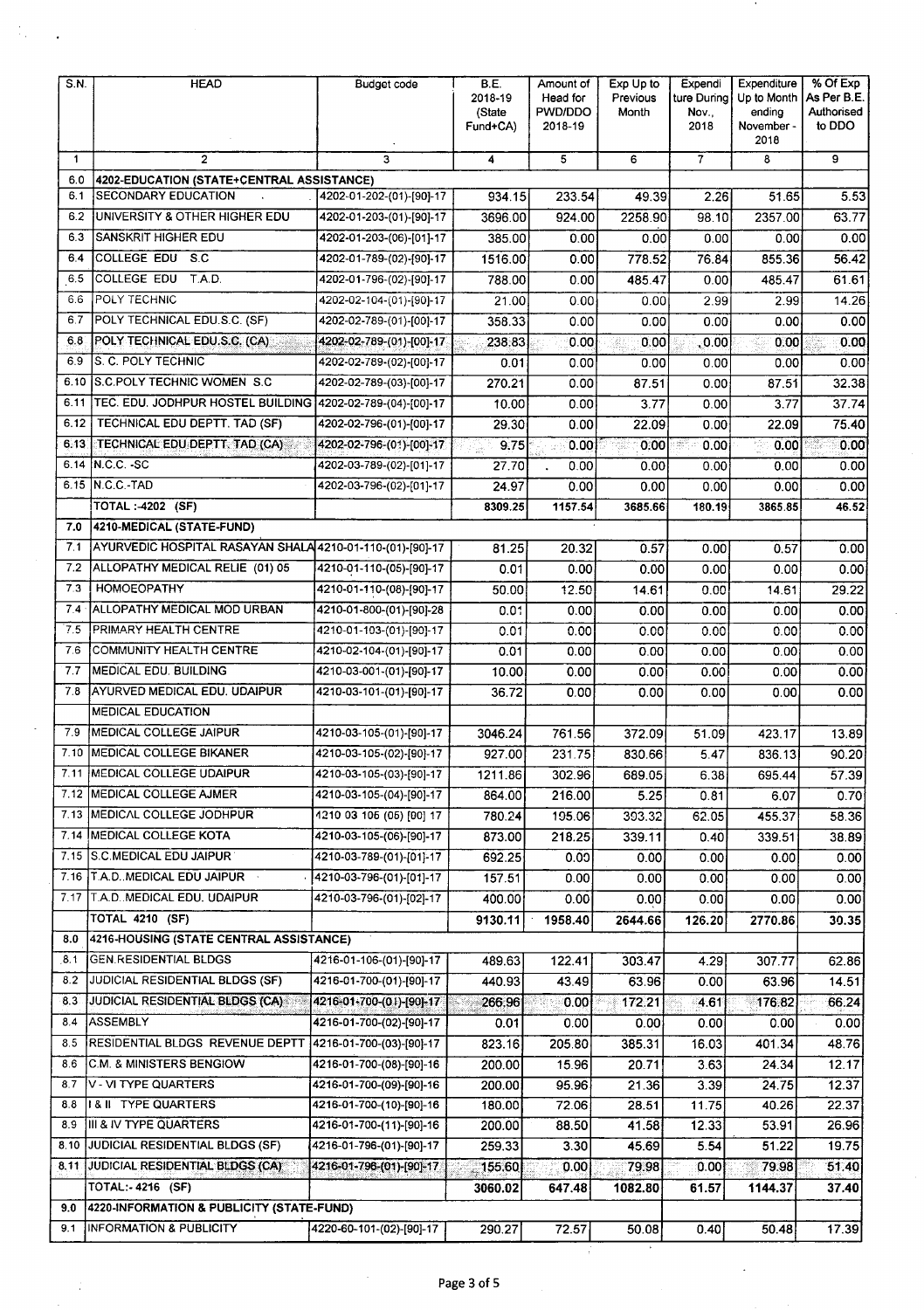### Page 3 of 5

 $\ddot{\phantom{0}}$ 

| S.N.        | <b>HEAD</b>                                                | <b>Budget code</b>       | B.E.<br>2018-19<br>(State<br>Fund+CA) | Amount of<br>Head for<br>PWD/DDO<br>2018-19 | Exp Up to<br>Previous<br>Month | Expendi<br>ture During<br>Nov.,<br>2018 | Expenditure<br>Up to Month<br>ending<br>November -<br>2018 | % Of Exp<br>As Per B.E.<br>Authorised<br>to DDO |
|-------------|------------------------------------------------------------|--------------------------|---------------------------------------|---------------------------------------------|--------------------------------|-----------------------------------------|------------------------------------------------------------|-------------------------------------------------|
| $\mathbf 1$ | $\overline{2}$                                             | 3                        | 4                                     | 5                                           | 6                              | $\overline{7}$                          | 8                                                          | 9                                               |
| 6.0         | 4202-EDUCATION (STATE+CENTRAL ASSISTANCE)                  |                          |                                       |                                             |                                |                                         |                                                            |                                                 |
| 6.1         | <b>SECONDARY EDUCATION</b>                                 | 4202-01-202-(01)-[90]-17 | 934.15                                | 233.54                                      | 49.39                          | 2.26                                    | 51.65                                                      | 5.53                                            |
| 6.2         | UNIVERSITY & OTHER HIGHER EDU                              | 4202-01-203-(01)-[90]-17 | 3696.00                               | 924.00                                      | 2258.90                        | 98.10                                   | 2357.00                                                    | 63.77                                           |
| 6.3         | SANSKRIT HIGHER EDU                                        | 4202-01-203-(06)-[01]-17 | 385.00                                | 0.00                                        | 0.00                           | 0.00                                    | 0.00                                                       | 0.00                                            |
| 6.4         | COLLEGE EDU S.C                                            | 4202-01-789-(02)-[90]-17 | 1516.00                               | 0.00                                        | 778.52                         | 76.84                                   | 855.36                                                     | 56.42                                           |
| 6.5         | <b>COLLEGE EDU</b><br>T.A.D.                               | 4202-01-796-(02)-[90]-17 | 788.00                                | 0.00                                        | 485.47                         | 0.00                                    | 485.47                                                     | 61.61                                           |
| 6.6         | POLY TECHNIC                                               | 4202-02-104-(01)-[90]-17 | 21.00                                 | 0.00                                        | 0.00                           | 2.99                                    | 2.99                                                       | 14.26                                           |
| 6.7         | POLY TECHNICAL EDU.S.C. (SF)                               | 4202-02-789-(01)-[00]-17 | 358.33                                | 0.00                                        | 0.00                           | 0.00                                    | 0.00                                                       | 0.00                                            |
| 6.8         | POLY TECHNICAL EDU.S.C. (CA)                               | 4202-02-789-(01)-[00]-17 | 238.83                                | 0.00                                        | 0.00<br>B)                     | 0.00                                    | 0.00                                                       | 0.00                                            |
| 6.9         | S. C. POLY TECHNIC                                         | 4202-02-789-(02)-[00]-17 | 0.01                                  | 0.00                                        | 0.00                           | 0.00                                    | 0.00                                                       | 0.00                                            |
| 6.10        | <b>IS.C.POLY TECHNIC WOMEN S.C.</b>                        | 4202-02-789-(03)-[00]-17 | 270.21                                | 0.00                                        | 87.51                          | 0.00                                    | 87.51                                                      | 32.38                                           |
| 6.11        | TEC. EDU. JODHPUR HOSTEL BUILDING 4202-02-789-(04)-[00]-17 |                          | 10.00                                 | 0.00                                        | 3.77                           | 0.00                                    | 3.77                                                       | 37.74                                           |
| 6.12        | TECHNICAL EDU DEPTT. TAD (SF)                              | 4202-02-796-(01)-[00]-17 | 29.30                                 | 0.00                                        | 22.09                          | 0.00                                    | 22.09                                                      | 75.40                                           |
| 6.13        | TECHNICAL EDU DEPTT. TAD (CA)                              | 4202-02-796-(01)-[00]-17 | 9.75                                  | 0.00                                        | 0.00                           | 0.00                                    | 색<br>0.00                                                  | 0.00                                            |
|             | 6.14 N.C.C. - SC                                           | 4202-03-789-(02)-[01]-17 | 27.70                                 | 0.00                                        | 0.00                           | 0.00                                    | 0.00                                                       | 0.00                                            |
|             | 6.15 N.C.C.-TAD                                            | 4202-03-796-(02)-[01]-17 | 24.97                                 | 0.00                                        | 0.00                           | 0.00                                    | 0.00                                                       | 0.00                                            |
|             | TOTAL: -4202 (SF)                                          |                          | 8309.25                               | 1157.54                                     | 3685.66                        | 180.19                                  | 3865.85                                                    | 46.52                                           |
| 7.0         | 4210-MEDICAL (STATE-FUND)                                  |                          |                                       |                                             |                                |                                         |                                                            |                                                 |
| 7.1         | AYURVEDIC HOSPITAL RASAYAN SHALA 4210-01-110-(01)-[90]-17  |                          | 81.25                                 | 20.32                                       | 0.57                           | 0.00                                    | 0.57                                                       | 0.00                                            |
| 7.2         | ALLOPATHY MEDICAL RELIE (01) 05                            | 4210-01-110-(05)-[90]-17 | 0.01                                  | 0.00                                        | 0.00                           | 0.00                                    | 0.00                                                       | 0.00                                            |
| 7.3         | <b>HOMOEOPATHY</b>                                         | 4210-01-110-(08)-[90]-17 | 50.00                                 | 12.50                                       | 14.61                          | 0.00                                    | 14.61                                                      | 29.22                                           |
| 7.4         | ALLOPATHY MEDICAL MOD URBAN                                | 4210-01-800-(01)-[90]-28 | 0.01                                  | 0.00                                        | 0.00                           | 0.00                                    | 0.00                                                       | 0.00                                            |
| 7.5         | PRIMARY HEALTH CENTRE                                      | 4210-01-103-(01)-[90]-17 | 0.01                                  | 0.00                                        | 0.00                           | 0.00                                    | 0.00                                                       | 0.00                                            |
| 7.6         | COMMUNITY HEALTH CENTRE                                    | 4210-02-104-(01)-[90]-17 | 0.01                                  | 0.00                                        | 0.00                           | 0.00                                    | 0.00                                                       | 0.00                                            |
| 7.7         | <b>MEDICAL EDU. BUILDING</b>                               | 4210-03-001-(01)-[90]-17 | 10.00                                 | 0.00                                        | 0.00                           | 0.00                                    | 0.00                                                       | 0.00                                            |
| 7.8         | AYURVED MEDICAL EDU. UDAIPUR                               | 4210-03-101-(01)-[90]-17 | 36.72                                 | 0.00                                        | 0.00                           | 0.00                                    | 0.00                                                       | 0.00                                            |
|             | <b>MEDICAL EDUCATION</b>                                   |                          |                                       |                                             |                                |                                         |                                                            |                                                 |
| 7.9         | MEDICAL COLLEGE JAIPUR                                     | 4210-03-105-(01)-[90]-17 | 3046.24                               | 761.56                                      | 372.09                         | 51.09                                   | 423.17                                                     | 13.89                                           |
| 7.10        | MEDICAL COLLEGE BIKANER                                    | 4210-03-105-(02)-[90]-17 | 927.00                                | 231.75                                      | 830.66                         | 5.47                                    | 836.13                                                     | 90.20                                           |
|             | 7.11 MEDICAL COLLEGE UDAIPUR                               | 4210-03-105-(03)-[90]-17 | 1211.86                               | 302.96                                      | 689.05                         | 6.38                                    | 695.44                                                     | 57.39                                           |
|             | 7.12 MEDICAL COLLEGE AJMER                                 | 4210-03-105-(04)-[90]-17 | 864.00                                | 216.00                                      | 5.25                           | 0.81                                    | 6.07                                                       | 0.70                                            |
|             | 7.13 MEDICAL COLLEGE JODHPUR                               | 1210 03 105 (05) [00] 17 | 780.24                                | 195.06                                      | 393.32                         | 62.05                                   | 455.37                                                     | 58.36                                           |
|             | 7.14 MEDICAL COLLEGE KOTA                                  | 4210-03-105-(06)-[90]-17 | 873.00                                | 218.25                                      | 339.11                         | 0.40                                    | 339.51                                                     | 38.89                                           |
| 7.15        | S.C.MEDICAL EDU JAIPUR                                     | 4210-03-789-(01)-[01]-17 | 692.25                                | 0.00                                        | 0.00                           | 0.00                                    | 0.00                                                       | 0.00                                            |
|             | 7.16 T.A.D. MEDICAL EDU JAIPUR                             | 4210-03-796-(01)-[01]-17 | 157.51                                | 0.00                                        | 0.00                           | 0.00                                    | 0.00                                                       | 0.00                                            |
| 7.17        | T.A.D. MEDICAL EDU. UDAIPUR                                | 4210-03-796-(01)-[02]-17 | 400.00                                | 0.00                                        | 0.00                           | 0.00                                    | 0.00                                                       | 0.00                                            |
|             | <b>TOTAL 4210 (SF)</b>                                     |                          | 9130.11                               | 1958.40                                     | 2644.66                        | 126.20                                  | 2770.86                                                    | 30.35                                           |
| 8.0         | 4216-HOUSING (STATE CENTRAL ASSISTANCE)                    |                          |                                       |                                             |                                |                                         |                                                            |                                                 |
| 8.1         | <b>GEN.RESIDENTIAL BLDGS</b>                               | 4216-01-106-(01)-[90]-17 | 489.63                                | 122.41                                      | 303.47                         | 4.29                                    | 307.77                                                     | 62.86                                           |
| 8.2         | JUDICIAL RESIDENTIAL BLDGS (SF)                            | 4216-01-700-(01)-[90]-17 | 440.93                                | 43.49                                       | 63.96                          | 0.00                                    | 63.96                                                      | 14.51                                           |
| 8.3         | <b>JUDICIAL RESIDENTIAL BLDGS (CA)</b>                     | 4216-01-700-(01)-[90]-17 | 266,96                                | 0.00                                        | 172.21                         | 4.61                                    | 176.82                                                     | 66.24                                           |
| 8.4         | ASSEMBLY                                                   | 4216-01-700-(02)-[90]-17 | 0.01                                  | 0.00                                        | 0.00                           | 0.00                                    | 0.00                                                       | 0.00                                            |
| 8.5         | RESIDENTIAL BLDGS REVENUE DEPTT                            | 4216-01-700-(03)-[90]-17 | 823.16                                | 205.80                                      | 385.31                         | 16.03                                   | 401.34                                                     | 48.76                                           |
| 8.6         | C.M. & MINISTERS BENGIOW                                   | 4216-01-700-(08)-[90]-16 | 200.00                                | 15.96                                       | 20.71                          | 3.63                                    | 24.34                                                      | 12.17                                           |
| 8.7         | V - VI TYPE QUARTERS                                       | 4216-01-700-(09)-[90]-16 | 200.00                                | 95.96                                       | 21.36                          | 3.39                                    | 24.75                                                      | 12.37                                           |
| 8.8         | <b>I&amp;II TYPE QUARTERS</b>                              | 4216-01-700-(10)-[90]-16 | 180.00                                | 72.06                                       | 28.51                          | 11.75                                   | 40.26                                                      | 22.37                                           |
| 8.9         | III & IV TYPE QUARTERS                                     | 4216-01-700-(11)-[90]-16 | 200.00                                | 88.50                                       | 41.58                          | 12.33                                   | 53.91                                                      | 26.96                                           |
| 8.10        | JUDICIAL RESIDENTIAL BLDGS (SF)                            | 4216-01-796-(01)-[90]-17 | 259.33                                | 3.30                                        | 45.69                          | 5.54                                    | 51.22                                                      | 19.75                                           |
|             | 8.11 JUDICIAL RESIDENTIAL BLDGS (CA)                       | 4216-01-796-(01)-[90]-17 | 155.60                                | 0.00                                        | 79.98                          | 0.00                                    | 79.98                                                      | 51.40                                           |
|             | <b>TOTAL:-4216 (SF)</b>                                    |                          | 3060.02                               | 647.48                                      | 1082.80                        | 61.57                                   | 1144.37                                                    | 37.40                                           |
| 9.0         | 4220-INFORMATION & PUBLICITY (STATE-FUND)                  |                          |                                       |                                             |                                |                                         |                                                            |                                                 |
| 9.1         | <b>INFORMATION &amp; PUBLICITY</b>                         | 4220-60-101-(02)-[90]-17 | 290.27                                | 72.57                                       | 50.08                          | 0.40                                    | 50.48                                                      | 17.39                                           |

 $\mathcal{A}_\alpha$ 

÷,

 $\ddot{\phantom{0}}$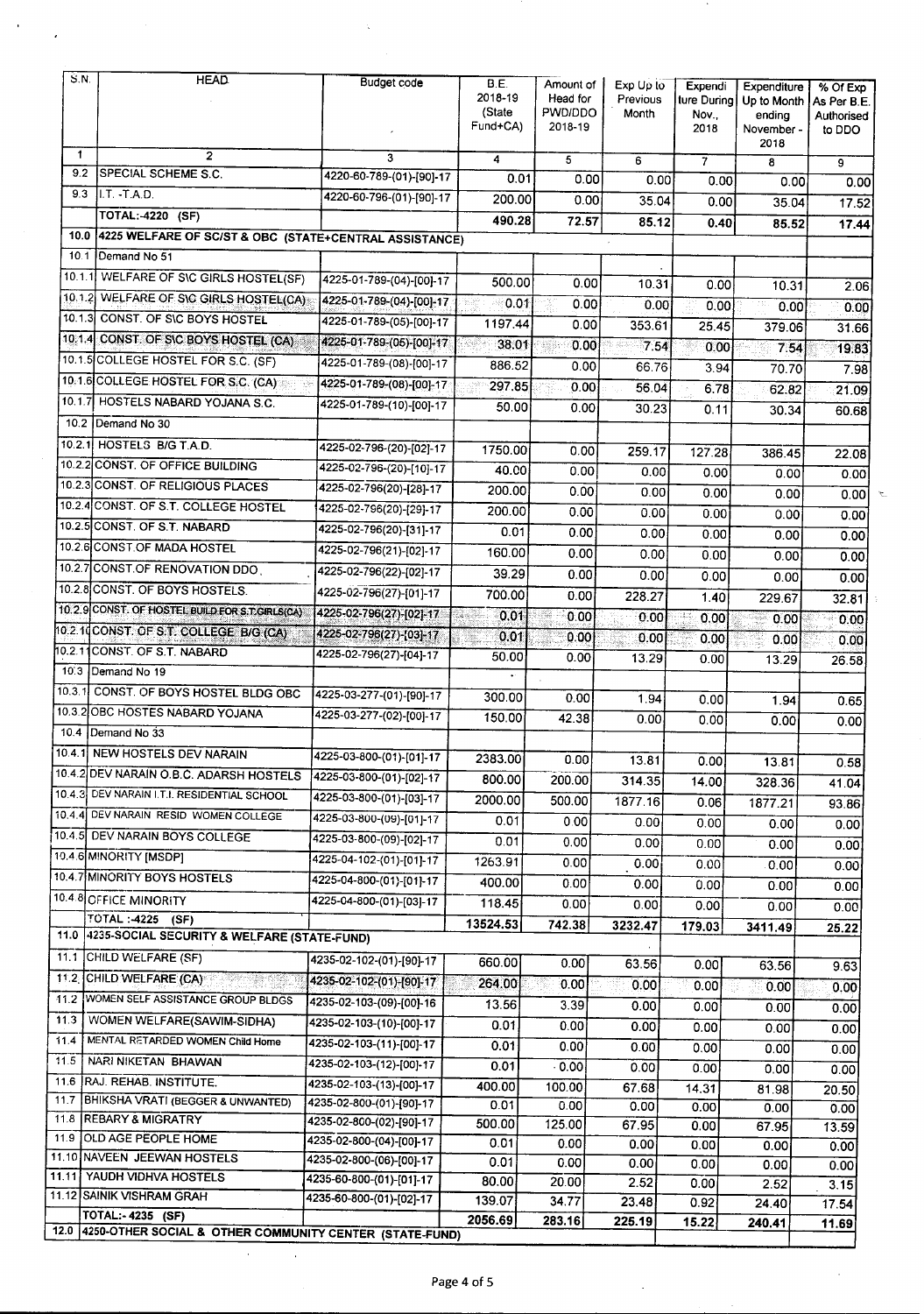| S.N.         | <b>HEAD</b>                                                      | <b>Budget code</b>       | B.E.                    | Amount of          | Exp Up to  | Expendi       | Expenditure          | % Of Exp    |
|--------------|------------------------------------------------------------------|--------------------------|-------------------------|--------------------|------------|---------------|----------------------|-------------|
|              |                                                                  |                          | 2018-19                 | Head for           | Previous   | ture During   | Up to Month          | As Per B.E. |
|              |                                                                  |                          | (State<br>Fund+CA)      | PWD/DDO<br>2018-19 | Month      | Nov.,<br>2018 | ending<br>November - | Authorised  |
|              |                                                                  |                          |                         |                    |            |               | 2018                 | to DDO      |
| $\mathbf{1}$ | $\overline{2}$                                                   | 3                        | $\overline{\mathbf{4}}$ | $\overline{5}$     | 6          | 7             | 8                    | 9           |
| 9.2          | <b>SPECIAL SCHEME S.C.</b>                                       | 4220-60-789-(01)-[90]-17 | 0.01                    | 0.00               | 0.00       | 0.00          | 0.00                 | 0.00        |
| 9.3          | $II. T. - T.A.D.$                                                | 4220-60-796-(01)-[90]-17 | 200.00                  | 0.00               | 35.04      | 0.00          | 35.04                | 17.52       |
|              | <b>TOTAL: 4220 (SF)</b>                                          |                          | 490.28                  | 72.57              | 85.12      | 0.40          | 85.52                | 17.44       |
| 10.0         | 4225 WELFARE OF SC/ST & OBC (STATE+CENTRAL ASSISTANCE)           |                          |                         |                    |            |               |                      |             |
| 10.1         | Demand No 51                                                     |                          |                         |                    |            |               |                      |             |
| 10.1.1       | <b>WELFARE OF SIC GIRLS HOSTEL(SF)</b>                           | 4225-01-789-(04)-[00]-17 | 500.00                  | 0.00               | 10.31      |               |                      |             |
| 10.1.2       | WELFARE OF SIG GIRLS HOSTEL(CA)                                  | 4225-01-789-(04)-[00]-17 | 0.01                    |                    |            | 0.00          | 10.31                | 2.06        |
|              | 10.1.3 CONST. OF SIC BOYS HOSTEL                                 | 4225-01-789-(05)-[00]-17 |                         | 0.00               | 0.00       | 0.00          | 0.00                 | 0.00        |
|              | 10.1.4 CONST. OF SIC BOYS HOSTEL (CA)                            | 4225-01-789-(05)-[00]-17 | 1197.44                 | 0.00               | 353.61     | 25.45         | 379.06               | 31.66       |
|              | 10.1.5 COLLEGE HOSTEL FOR S.C. (SF)                              | 4225-01-789-(08)-[00]-17 | 38.01                   | 0.00               | 7.54<br>85 | 0.00          | 7.54                 | 19.83       |
|              | 10.1.6 COLLEGE HOSTEL FOR S.C. (CA)<br>132                       |                          | 886.52                  | 0.00               | 66.76      | 3.94          | 70.70                | 7.98        |
|              | 10.1.7 HOSTELS NABARD YOJANA S.C.                                | 4225-01-789-(08)-[00]-17 | 297.85                  | 0.00               | 56.04      | 6.78          | 62.82                | 21.09       |
|              |                                                                  | 4225-01-789-(10)-[00]-17 | 50.00                   | 0.00               | 30.23      | 0.11          | 30.34                | 60.68       |
|              | 10.2   Demand No 30                                              |                          |                         |                    |            |               |                      |             |
|              | 10.2.1 HOSTELS B/G T.A.D.                                        | 4225-02-796-(20)-[02]-17 | 1750.00                 | 0.00               | 259.17     | 127.28        | 386.45               | 22.08       |
|              | 10.2.2 CONST. OF OFFICE BUILDING                                 | 4225-02-796-(20)-[10]-17 | 40.00                   | 0.00               | 0.00       | 0.00          | 0.00                 | 0.00        |
|              | 10.2.3 CONST. OF RELIGIOUS PLACES                                | 4225-02-796(20)-[28]-17  | 200.00                  | 0.00               | 0.00       | 0.00          | 0.00                 | 0.00        |
|              | 10.2.4 CONST. OF S.T. COLLEGE HOSTEL                             | 4225-02-796(20)-[29]-17  | 200.00                  | 0.00               | 0.00       | 0.00          | 0.00                 | 0.00        |
|              | 10.2.5 CONST. OF S.T. NABARD                                     | 4225-02-796(20)-[31]-17  | 0.01                    | 0.00               | 0.00       | 0.00          | 0.00                 | 0.00        |
|              | 10.2.6 CONST.OF MADA HOSTEL                                      | 4225-02-796(21)-[02]-17  | 160.00                  | 0.00               | 0.00       | 0.00          | 0.00                 | 0.00        |
|              | 10.2.7 CONST.OF RENOVATION DDO.                                  | 4225-02-796(22)-[02]-17  | 39.29                   | 0.00               | 0.00       | 0.00          | 0.00                 | 0.00        |
|              | 10.2.8 CONST. OF BOYS HOSTELS.                                   | 4225-02-796(27)-[01]-17  | 700.00                  | 0.00               | 228.27     | 1.40          | 229.67               | 32.81       |
|              | 10.2.9 CONST. OF HOSTEL BUILD FOR S. CGIRLS(CA)                  | 4225-02-796(27)-[02]-17  | 0.01                    | 0.00               | 0.00       | 0.00          | 0.00                 | 0.00        |
|              | 10.2.10 CONST. OF S.T. COLLEGE B/G (CA)                          | 4225-02-796(27)-[03]-17  | 0.01                    | 0.00               | 0.00       | 0.00          | 0.00                 |             |
|              | 10.2.11 CONST. OF S.T. NABARD                                    | 4225-02-796(27)-[04]-17  | 50.00                   | 0.00               | 13.29      | 0.00          | 13.29                | 0.00        |
|              | 10.3 Demand No 19                                                |                          |                         |                    |            |               |                      | 26.58       |
| 10.3.1       | CONST. OF BOYS HOSTEL BLDG OBC                                   | 4225-03-277-(01)-[90]-17 | 300.00                  | 0.00               | 1.94       | 0.00          | 1.94                 |             |
|              | 10.3.2 OBC HOSTES NABARD YOJANA                                  | 4225-03-277-(02)-[00]-17 | 150.00                  | 42.38              | 0.00       | 0.00          |                      | 0.65        |
|              | 10.4 Demand No 33                                                |                          |                         |                    |            |               | 0.00                 | 0.00        |
|              | 10.4.1 NEW HOSTELS DEV NARAIN                                    | 4225-03-800-(01)-[01]-17 | 2383.00                 | 0.00               |            |               |                      |             |
|              | 10.4.2 DEV NARAIN O.B.C. ADARSH HOSTELS 4225-03-800-(01)-[02]-17 |                          | 800.00                  | 200.00             | 13.81      | 0.00          | 13.81                | 0.58        |
|              | 10.4.3 DEV NARAIN I.T.I. RESIDENTIAL SCHOOL                      | 4225-03-800-(01)-[03]-17 |                         |                    | 314.35     | 14.00         | 328.36               | 41.04       |
|              | 10.4.4 DEV NARAIN RESID WOMEN COLLEGE                            | 4225-03-800-(09)-[01]-17 | 2000.00                 | 500.00             | 1877.16    | 0.06          | 1877.21              | 93.86       |
|              | 10.4.5 DEV NARAIN BOYS COLLEGE                                   | 4225-03-800-(09)-[02]-17 | 0.01                    | 0.00               | 0.00       | 0.00.         | 0.00                 | 0.00        |
|              | 10.4.6 MINORITY [MSDP]                                           | 4225-04-102-(01)-[01]-17 | 0.01                    | 0.00               | 0.00       | 0.00          | 0.00                 | 0.00        |
|              | 10.4.7 MINORITY BOYS HOSTELS                                     | 4225-04-800-(01)-[01]-17 | 1263.91                 | 0.00               | 0.00       | 0.00          | 0.00                 | 0.00        |
|              | 10.4.8 OFFICE MINORITY                                           |                          | 400.00                  | 0.00               | 0.00       | 0.00          | 0.00                 | 0.00        |
|              | <b>TOTAL: -4225</b>                                              | 4225-04-800-(01)-[03]-17 | 118.45                  | 0.00               | 0.00       | 0.00          | 0.00                 | 0.00        |
| 11.0         | (SF)<br>4235-SOCIAL SECURITY & WELFARE (STATE-FUND)              |                          | 13524.53                | 742.38             | 3232.47    | 179.03        | 3411.49              | 25.22       |
|              | 11.1 CHILD WELFARE (SF)                                          |                          |                         |                    |            |               |                      |             |
|              | 11.2 CHILD WELFARE (CA)                                          | 4235-02-102-(01)-[90]-17 | 660.00                  | 0.00               | 63.56      | 0.00          | 63.56                | 9.63        |
| 11.2         | WOMEN SELF ASSISTANCE GROUP BLDGS                                | 4235-02-102-(01)-[90]-17 | 264.00                  | 0.00               | 0.00       | 0.00          | 0.00                 | 0.00        |
|              |                                                                  | 4235-02-103-(09)-[00]-16 | 13.56                   | 3.39               | 0.00       | 0.00          | 0.00                 | 0.00        |
| 11.3         | WOMEN WELFARE(SAWIM-SIDHA)                                       | 4235-02-103-(10)-[00]-17 | 0.01                    | 0.00               | 0.00       | 0.00          | 0.00                 | 0.00        |
| 11.4         | MENTAL RETARDED WOMEN Child Home                                 | 4235-02-103-(11)-[00]-17 | 0.01                    | 0.00               | 0.00       | 0.00          | 0.00                 | 0.00        |
| 11.5         | NARI NIKETAN BHAWAN                                              | 4235-02-103-(12)-[00]-17 | 0.01                    | 0.00               | 0.00       | 0.00          | 0.00                 | 0.00        |
| 11.6         | RAJ. REHAB. INSTITUTE.                                           | 4235-02-103-(13)-[00]-17 | 400.00                  | 100.00             | 67.68      | 14.31         | 81.98                | 20.50       |
| 11.7         | BHIKSHA VRATI (BEGGER & UNWANTED)                                | 4235-02-800-(01)-[90]-17 | 0.01                    | 0.00               | 0.00       | 0.00          | 0.00                 | 0.00        |
| 11.8<br>11.9 | <b>REBARY &amp; MIGRATRY</b><br><b>OLD AGE PEOPLE HOME</b>       | 4235-02-800-(02)-[90]-17 | 500.00                  | 125.00             | 67.95      | 0.00          | 67.95                | 13.59       |
|              | 11.10 NAVEEN JEEWAN HOSTELS                                      | 4235-02-800-(04)-[00]-17 | 0.01                    | 0.00               | 0.00       | 0.00          | 0.00                 | 0.00        |
|              | 11.11 YAUDH VIDHVA HOSTELS                                       | 4235-02-800-(06)-[00]-17 | 0.01                    | 0.00               | 0.00       | 0.00          | 0.00                 | 0.00        |
|              | 11.12 SAINIK VISHRAM GRAH                                        | 4235-60-800-(01)-[01]-17 | 80.00                   | 20.00              | 2.52       | 0.00          | 2.52                 | 3.15        |
|              | TOTAL:- 4235 (SF)                                                | 4235-60-800-(01)-[02]-17 | 139.07                  | 34.77              | 23.48      | 0.92          | 24.40                | 17.54       |
| 12.0         | 4250-OTHER SOCIAL & OTHER COMMUNITY CENTER (STATE-FUND)          |                          | 2056.69                 | 283.16             | 225.19     | 15.22         | 240.41               | 11.69       |

 $\ddot{\phantom{a}}$ 

 $\bar{\star}$ 

 $\hat{\mathcal{E}}$